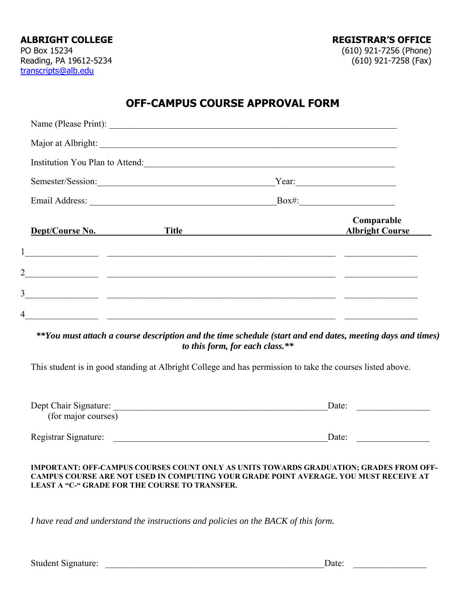# **OFF-CAMPUS COURSE APPROVAL FORM**

| Institution You Plan to Attend:                                                                                                                                                                                                   |                                      |  |
|-----------------------------------------------------------------------------------------------------------------------------------------------------------------------------------------------------------------------------------|--------------------------------------|--|
| Semester/Session:                                                                                                                                                                                                                 | Year:                                |  |
|                                                                                                                                                                                                                                   |                                      |  |
| Dept/Course No.<br>Title                                                                                                                                                                                                          | Comparable<br><b>Albright Course</b> |  |
|                                                                                                                                                                                                                                   |                                      |  |
|                                                                                                                                                                                                                                   |                                      |  |
| $\frac{1}{2}$ . The contract of the contract of the contract of the contract of the contract of the contract of the contract of the contract of the contract of the contract of the contract of the contract of the contract of t |                                      |  |
| $\frac{2}{\sqrt{2}}$<br>$\overline{3}$                                                                                                                                                                                            |                                      |  |

*\*\*You must attach a course description and the time schedule (start and end dates, meeting days and times) to this form, for each class.\*\** 

This student is in good standing at Albright College and has permission to take the courses listed above.

| Dept Chair Signature: | Date: |
|-----------------------|-------|
| (for major courses)   |       |
|                       |       |
| Registrar Signature:  | Date: |

#### **IMPORTANT: OFF-CAMPUS COURSES COUNT ONLY AS UNITS TOWARDS GRADUATION; GRADES FROM OFF-CAMPUS COURSE ARE NOT USED IN COMPUTING YOUR GRADE POINT AVERAGE. YOU MUST RECEIVE AT LEAST A "C-" GRADE FOR THE COURSE TO TRANSFER.**

*I have read and understand the instructions and policies on the BACK of this form.* 

| <b>Student Signature:</b> | Jate |  |
|---------------------------|------|--|
|                           |      |  |